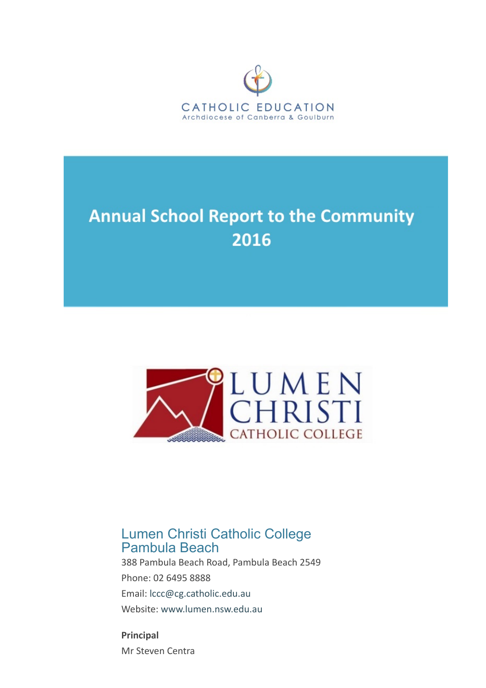

# **Annual School Report to the Community** 2016



# Lumen Christi Catholic College Pambula Beach

388 Pambula Beach Road, Pambula Beach 2549 Phone: 02 6495 8888 Email: [lccc@cg.catholic.edu.au](mailto: lccc@cg.catholic.edu.au) Website: [www.lumen.nsw.edu.au](https://asr.cg.catholic.edu.au/Reports/Print/www.lumen.nsw.edu.au)

Principal Mr Steven Centra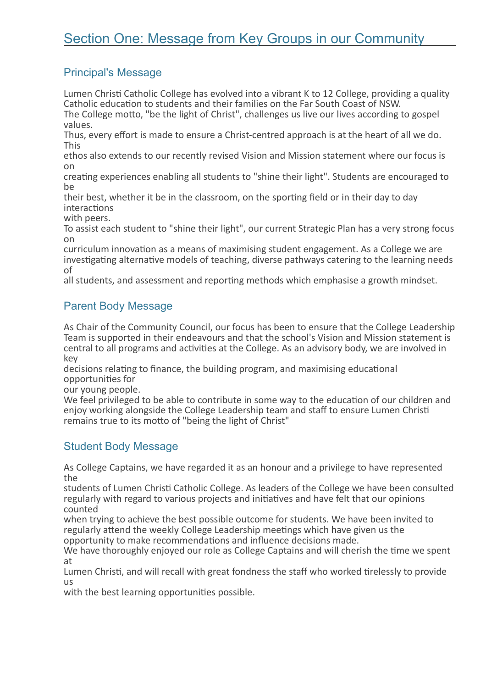## Principal's Message

Lumen Christi Catholic College has evolved into a vibrant K to 12 College, providing a quality Catholic education to students and their families on the Far South Coast of NSW. The College motto, "be the light of Christ", challenges us live our lives according to gospel

values. Thus, every effort is made to ensure a Christ-centred approach is at the heart of all we do.

This ethos also extends to our recently revised Vision and Mission statement where our focus is

on creating experiences enabling all students to "shine their light". Students are encouraged to be

their best, whether it be in the classroom, on the sporting field or in their day to day interactions

with peers.

To assist each student to "shine their light", our current Strategic Plan has a very strong focus on

curriculum innovation as a means of maximising student engagement. As a College we are investigating alternative models of teaching, diverse pathways catering to the learning needs of

all students, and assessment and reporting methods which emphasise a growth mindset.

#### Parent Body Message

As Chair of the Community Council, our focus has been to ensure that the College Leadership Team is supported in their endeavours and that the school's Vision and Mission statement is central to all programs and activities at the College. As an advisory body, we are involved in key

decisions relating to finance, the building program, and maximising educational opportunities for<br>our young people.

We feel privileged to be able to contribute in some way to the education of our children and enjoy working alongside the College Leadership team and staff to ensure Lumen Christi remains true to its motto of "being the light of Christ"

#### Student Body Message

As College Captains, we have regarded it as an honour and a privilege to have represented the

students of Lumen Christi Catholic College. As leaders of the College we have been consulted regularly with regard to various projects and initiatives and have felt that our opinions counted

when trying to achieve the best possible outcome for students. We have been invited to regularly attend the weekly College Leadership meetings which have given us the opportunity to make recommendations and influence decisions made.

We have thoroughly enjoyed our role as College Captains and will cherish the time we spent at

Lumen Christi, and will recall with great fondness the staff who worked tirelessly to provide us

with the best learning opportunities possible.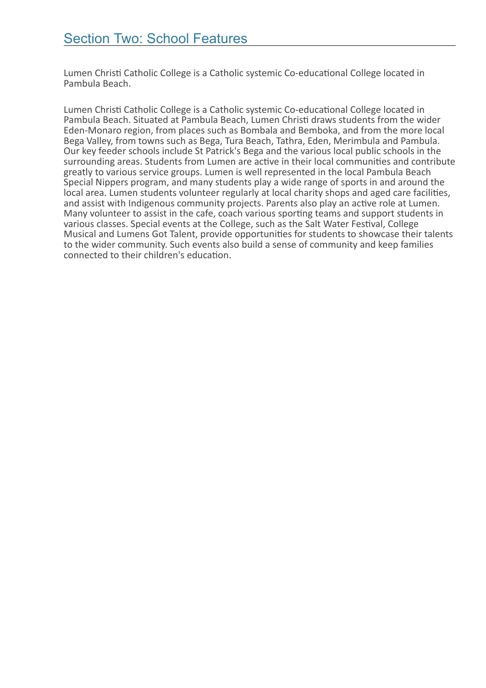Lumen Christi Catholic College is a Catholic systemic Co-educational College located in Pambula Beach.

Lumen Christi Catholic College is a Catholic systemic Co-educational College located in Pambula Beach. Situated at Pambula Beach, Lumen Christi draws students from the wider Eden‐Monaro region, from places such as Bombala and Bemboka, and from the more local Bega Valley, from towns such as Bega, Tura Beach, Tathra, Eden, Merimbula and Pambula. Our key feeder schools include St Patrick's Bega and the various local public schools in the surrounding areas. Students from Lumen are active in their local communities and contribute greatly to various service groups. Lumen is well represented in the local Pambula Beach Special Nippers program, and many students play a wide range of sports in and around the local area. Lumen students volunteer regularly at local charity shops and aged care facilities, and assist with Indigenous community projects. Parents also play an active role at Lumen.<br>Many volunteer to assist in the cafe, coach various sporting teams and support students in various classes. Special events at the College, such as the Salt Water Festival, College Musical and Lumens Got Talent, provide opportunities for students to showcase their talents to the wider community. Such events also build a sense of community and keep families connected to their children's education.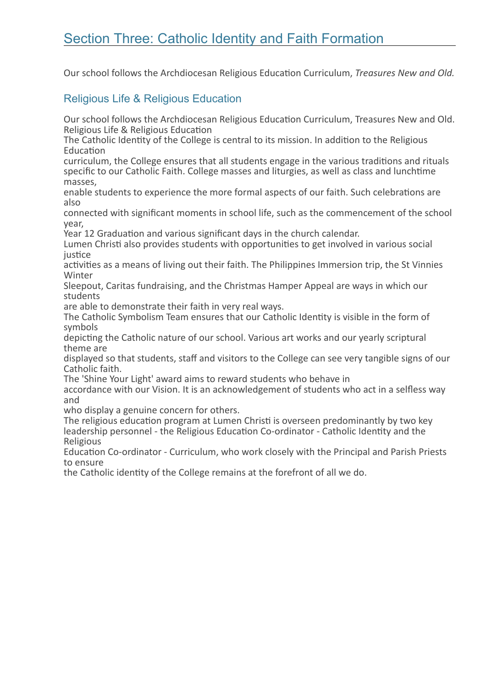# Section Three: Catholic Identity and Faith Formation

Our school follows the Archdiocesan Religious Education Curriculum, Treasures New and Old.

#### Religious Life & Religious Education

Our school follows the Archdiocesan Religious Education Curriculum, Treasures New and Old. Religious Life & Religious Education

The Catholic Identity of the College is central to its mission. In addition to the Religious **Education** 

curriculum, the College ensures that all students engage in the various traditions and rituals specific to our Catholic Faith. College masses and liturgies, as well as class and lunchtime masses,

enable students to experience the more formal aspects of our faith. Such celebrations are also

connected with significant moments in school life, such as the commencement of the school year,

Year 12 Graduation and various significant days in the church calendar.

Lumen Christi also provides students with opportunities to get involved in various social justice

activities as a means of living out their faith. The Philippines Immersion trip, the St Vinnies **Winter** 

Sleepout, Caritas fundraising, and the Christmas Hamper Appeal are ways in which our students

are able to demonstrate their faith in very real ways.

The Catholic Symbolism Team ensures that our Catholic Identity is visible in the form of symbols

depicting the Catholic nature of our school. Various art works and our yearly scriptural theme are

displayed so that students, staff and visitors to the College can see very tangible signs of our Catholic faith.

The 'Shine Your Light' award aims to reward students who behave in

accordance with our Vision. It is an acknowledgement of students who act in a selfless way and

who display a genuine concern for others.

The religious education program at Lumen Christi is overseen predominantly by two key leadership personnel - the Religious Education Co-ordinator - Catholic Identity and the Religious

Education Co-ordinator - Curriculum, who work closely with the Principal and Parish Priests to ensure

the Catholic identity of the College remains at the forefront of all we do.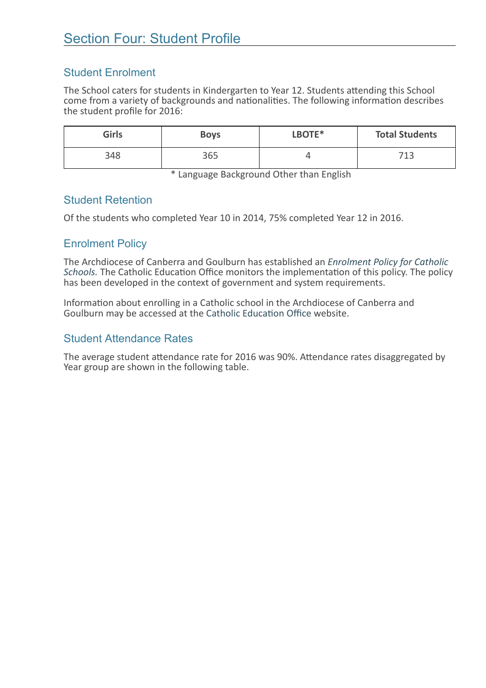### Student Enrolment

The School caters for students in Kindergarten to Year 12. Students attending this School come from a variety of backgrounds and nationalities. The following information describes the student profile for 2016:

| <b>Girls</b> | <b>Boys</b> | LBOTE* | <b>Total Students</b> |
|--------------|-------------|--------|-----------------------|
| 348          | 365         |        | 712<br>ᆠ              |

\* Language Background Other than English

#### Student Retention

Of the students who completed Year 10 in 2014, 75% completed Year 12 in 2016.

### Enrolment Policy

The Archdiocese of Canberra and Goulburn has established an Enrolment Policy for Catholic Schools. The Catholic Education Office monitors the implementation of this policy. The policy has been developed in the context of government and system requirements.

Information about enrolling in a Catholic school in the Archdiocese of Canberra and Goulburn may be accessed at the Catholic Education Office website.

#### Student Attendance Rates

The average student attendance rate for 2016 was 90%. Attendance rates disaggregated by Year group are shown in the following table.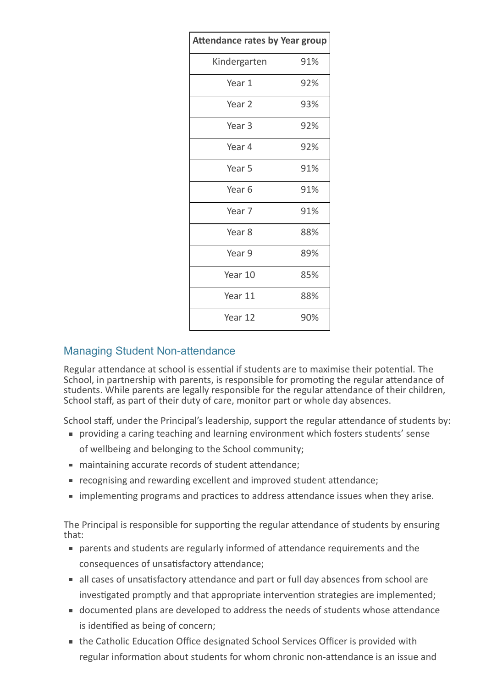| <b>Attendance rates by Year group</b> |     |  |
|---------------------------------------|-----|--|
| Kindergarten                          | 91% |  |
| Year 1                                | 92% |  |
| Year 2                                | 93% |  |
| Year 3                                | 92% |  |
| Year 4                                | 92% |  |
| Year 5                                | 91% |  |
| Year 6                                | 91% |  |
| Year 7                                | 91% |  |
| Year 8                                | 88% |  |
| Year 9                                | 89% |  |
| Year 10                               | 85% |  |
| Year 11                               | 88% |  |
| Year 12                               | 90% |  |

#### **Managing Student Non-attendance**

Regular attendance at school is essential if students are to maximise their potential. The School, in partnership with parents, is responsible for promoting the regular attendance of students. While parents are legally responsible for the regular attendance of their children, School staff, as part of their duty of care, monitor part or whole day absences.

School staff, under the Principal's leadership, support the regular attendance of students by:

- providing a caring teaching and learning environment which fosters students' sense of wellbeing and belonging to the School community;
- maintaining accurate records of student attendance:
- **F** recognising and rewarding excellent and improved student attendance;
- **In** implementing programs and practices to address attendance issues when they arise.

The Principal is responsible for supporting the regular attendance of students by ensuring that:

- parents and students are regularly informed of attendance requirements and the consequences of unsatisfactory attendance;
- all cases of unsatisfactory attendance and part or full day absences from school are investigated promptly and that appropriate intervention strategies are implemented;
- documented plans are developed to address the needs of students whose attendance is identified as being of concern;
- the Catholic Education Office designated School Services Officer is provided with regular information about students for whom chronic non-attendance is an issue and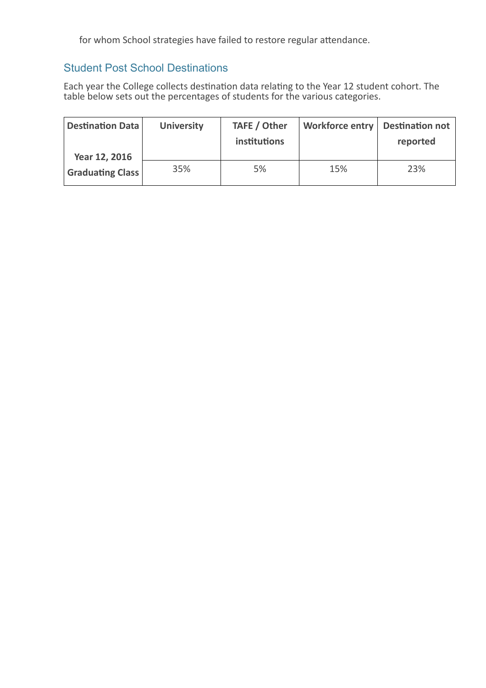for whom School strategies have failed to restore regular attendance.

### Student Post School Destinations

Each year the College collects destination data relating to the Year 12 student cohort. The table below sets out the percentages of students for the various categories.

| <b>Destination Data</b> | <b>University</b> | TAFE / Other<br>institutions | Workforce entry   Destination not | reported |
|-------------------------|-------------------|------------------------------|-----------------------------------|----------|
| Year 12, 2016           |                   |                              |                                   |          |
| <b>Graduating Class</b> | 35%               | 5%                           | 15%                               | 23%      |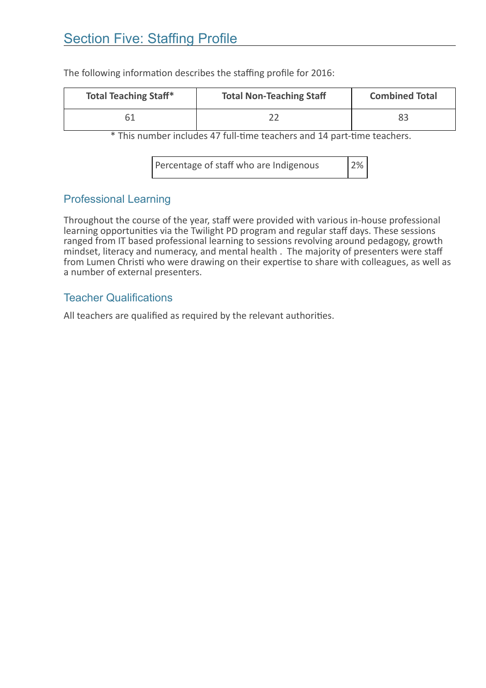# **Section Five: Staffing Profile**

| <b>Total Teaching Staff*</b> | <b>Total Non-Teaching Staff</b> | <b>Combined Total</b> |
|------------------------------|---------------------------------|-----------------------|
| 61                           |                                 | 83                    |

The following information describes the staffing profile for 2016:

\* This number includes 47 full-time teachers and 14 part-time teachers.

Percentage of staff who are Indigenous 2%

#### Professional Learning

Throughout the course of the year, staff were provided with various in‐house professional learning opportunities via the Twilight PD program and regular staff days. These sessions ranged from IT based professional learning to sessions revolving around pedagogy, growth mindset, literacy and numeracy, and mental health . The majority of presenters were staff from Lumen Christi who were drawing on their expertise to share with colleagues, as well as a number of external presenters.

#### Teacher Qualifications

All teachers are qualified as required by the relevant authorities.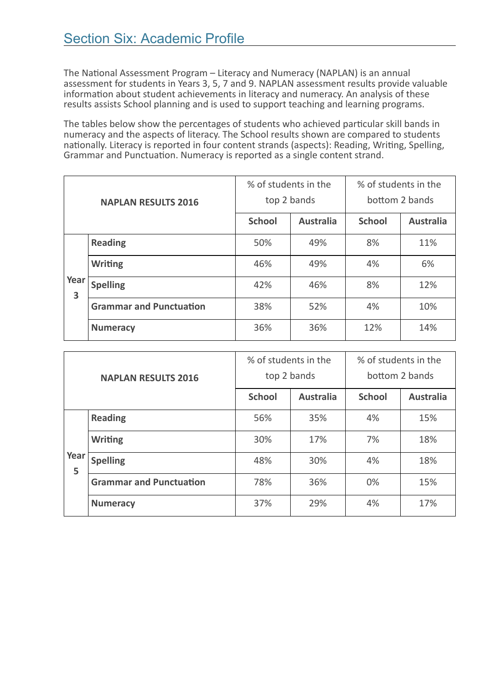The National Assessment Program – Literacy and Numeracy (NAPLAN) is an annual assessment for students in Years 3, 5, 7 and 9. NAPLAN assessment results provide valuable information about student achievements in literacy and numeracy. An analysis of these results assists School planning and is used to support teaching and learning programs.

The tables below show the percentages of students who achieved particular skill bands in numeracy and the aspects of literacy. The School results shown are compared to students nationally. Literacy is reported in four content strands (aspects): Reading, Writing, Spelling, Grammar and Punctuation. Numeracy is reported as a single content strand.

| <b>NAPLAN RESULTS 2016</b> |                                | % of students in the |                  | % of students in the |                  |
|----------------------------|--------------------------------|----------------------|------------------|----------------------|------------------|
|                            |                                | top 2 bands          |                  | bottom 2 bands       |                  |
|                            |                                | <b>School</b>        | <b>Australia</b> | <b>School</b>        | <b>Australia</b> |
|                            | <b>Reading</b>                 | 50%                  | 49%              | 8%                   | 11%              |
|                            | <b>Writing</b>                 | 46%                  | 49%              | 4%                   | 6%               |
| Year<br>3                  | <b>Spelling</b>                | 42%                  | 46%              | 8%                   | 12%              |
|                            | <b>Grammar and Punctuation</b> | 38%                  | 52%              | 4%                   | 10%              |
|                            | <b>Numeracy</b>                | 36%                  | 36%              | 12%                  | 14%              |

| <b>NAPLAN RESULTS 2016</b> |                                | % of students in the<br>top 2 bands |                  | % of students in the<br>bottom 2 bands |                  |
|----------------------------|--------------------------------|-------------------------------------|------------------|----------------------------------------|------------------|
|                            |                                | <b>School</b>                       | <b>Australia</b> | <b>School</b>                          | <b>Australia</b> |
|                            | <b>Reading</b>                 | 56%                                 | 35%              | 4%                                     | 15%              |
|                            | <b>Writing</b>                 | 30%                                 | 17%              | 7%                                     | 18%              |
| Year<br>5                  | <b>Spelling</b>                | 48%                                 | 30%              | 4%                                     | 18%              |
|                            | <b>Grammar and Punctuation</b> | 78%                                 | 36%              | 0%                                     | 15%              |
|                            | <b>Numeracy</b>                | 37%                                 | 29%              | 4%                                     | 17%              |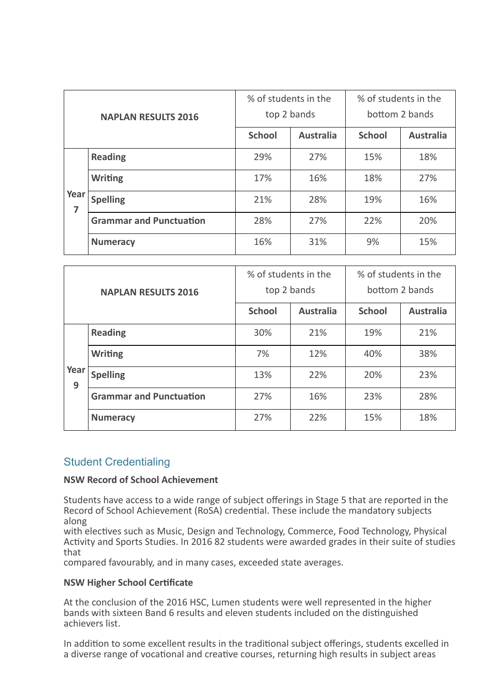| <b>NAPLAN RESULTS 2016</b> |                                | % of students in the<br>top 2 bands |                  | % of students in the<br>bottom 2 bands |                  |
|----------------------------|--------------------------------|-------------------------------------|------------------|----------------------------------------|------------------|
|                            |                                | <b>School</b>                       | <b>Australia</b> | <b>School</b>                          | <b>Australia</b> |
|                            | <b>Reading</b>                 | 29%                                 | 27%              | 15%                                    | 18%              |
| Year<br>$\overline{7}$     | <b>Writing</b>                 | 17%                                 | 16%              | 18%                                    | 27%              |
|                            | <b>Spelling</b>                | 21%                                 | 28%              | 19%                                    | 16%              |
|                            | <b>Grammar and Punctuation</b> | 28%                                 | 27%              | 22%                                    | 20%              |
|                            | <b>Numeracy</b>                | 16%                                 | 31%              | 9%                                     | 15%              |

| <b>NAPLAN RESULTS 2016</b> |                                | % of students in the<br>top 2 bands |                  | % of students in the<br>bottom 2 bands |                  |
|----------------------------|--------------------------------|-------------------------------------|------------------|----------------------------------------|------------------|
|                            |                                | <b>School</b>                       | <b>Australia</b> | <b>School</b>                          | <b>Australia</b> |
|                            | <b>Reading</b>                 | 30%                                 | 21%              | 19%                                    | 21%              |
| Year<br>9                  | <b>Writing</b>                 | 7%                                  | 12%              | 40%                                    | 38%              |
|                            | <b>Spelling</b>                | 13%                                 | 22%              | 20%                                    | 23%              |
|                            | <b>Grammar and Punctuation</b> | 27%                                 | 16%              | 23%                                    | 28%              |
|                            | <b>Numeracy</b>                | 27%                                 | 22%              | 15%                                    | 18%              |

#### Student Credentialing

#### NSW Record of School Achievement

Students have access to a wide range of subject offerings in Stage 5 that are reported in the Record of School Achievement (RoSA) credential. These include the mandatory subjects along

with electives such as Music, Design and Technology, Commerce, Food Technology, Physical Activity and Sports Studies. In 2016 82 students were awarded grades in their suite of studies that

compared favourably, and in many cases, exceeded state averages.

#### **NSW Higher School Certificate**

At the conclusion of the 2016 HSC, Lumen students were well represented in the higher bands with sixteen Band 6 results and eleven students included on the distinguished achievers list.

In addition to some excellent results in the traditional subject offerings, students excelled in a diverse range of vocational and creative courses, returning high results in subject areas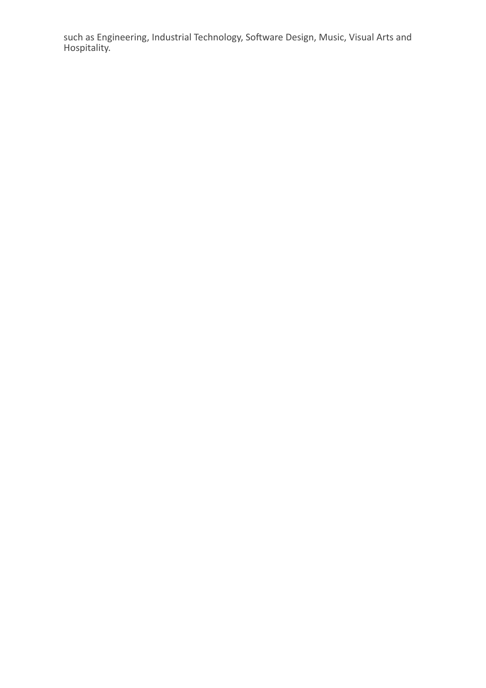such as Engineering, Industrial Technology, Software Design, Music, Visual Arts and Hospitality.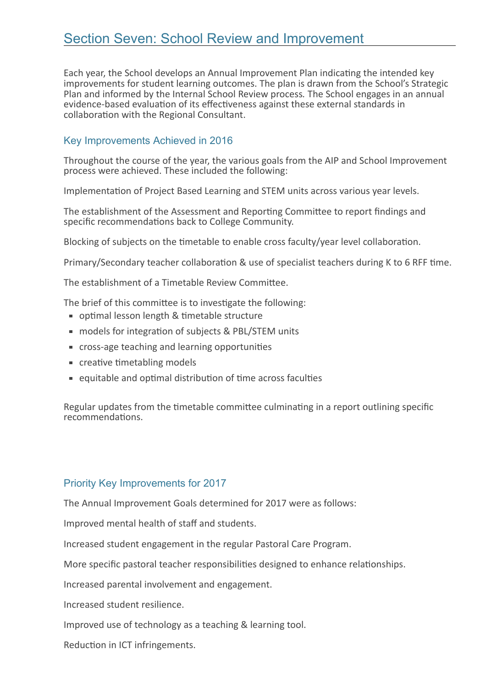# Section Seven: School Review and Improvement

Each year, the School develops an Annual Improvement Plan indicating the intended key improvements for student learning outcomes. The plan is drawn from the School's Strategic Plan and informed by the Internal School Review process. The School engages in an annual evidence-based evaluation of its effectiveness against these external standards in collaboration with the Regional Consultant.

#### Key Improvements Achieved in 2016

Throughout the course of the year, the various goals from the AIP and School Improvement process were achieved. These included the following:

Implementation of Project Based Learning and STEM units across various year levels.

The establishment of the Assessment and Reporting Committee to report findings and specific recommendations back to College Community.

Blocking of subjects on the timetable to enable cross faculty/year level collaboration.

Primary/Secondary teacher collaboration & use of specialist teachers during K to 6 RFF time.

The establishment of a Timetable Review Committee.

The brief of this committee is to investigate the following:

- optimal lesson length & timetable structure
- models for integration of subjects & PBL/STEM units
- cross-age teaching and learning opportunities
- $\blacksquare$  creative timetabling models
- $\blacksquare$  equitable and optimal distribution of time across faculties

Regular updates from the timetable committee culminating in a report outlining specific recommendations

#### Priority Key Improvements for 2017

The Annual Improvement Goals determined for 2017 were as follows:

Improved mental health of staff and students.

Increased student engagement in the regular Pastoral Care Program.

More specific pastoral teacher responsibilities designed to enhance relationships.

Increased parental involvement and engagement.

Increased student resilience.

Improved use of technology as a teaching & learning tool.

Reduction in ICT infringements.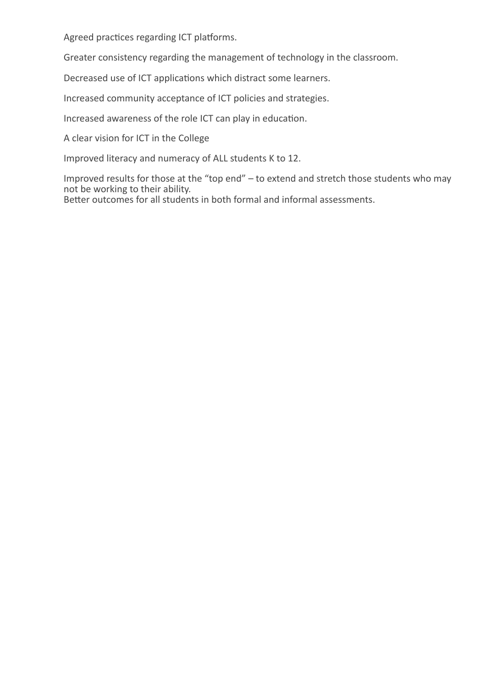Agreed practices regarding ICT platforms.

Greater consistency regarding the management of technology in the classroom.

Decreased use of ICT applications which distract some learners.

Increased community acceptance of ICT policies and strategies.

Increased awareness of the role ICT can play in education.

A clear vision for ICT in the College

Improved literacy and numeracy of ALL students K to 12.

Improved results for those at the "top end" – to extend and stretch those students who may not be working to their ability.

Better outcomes for all students in both formal and informal assessments.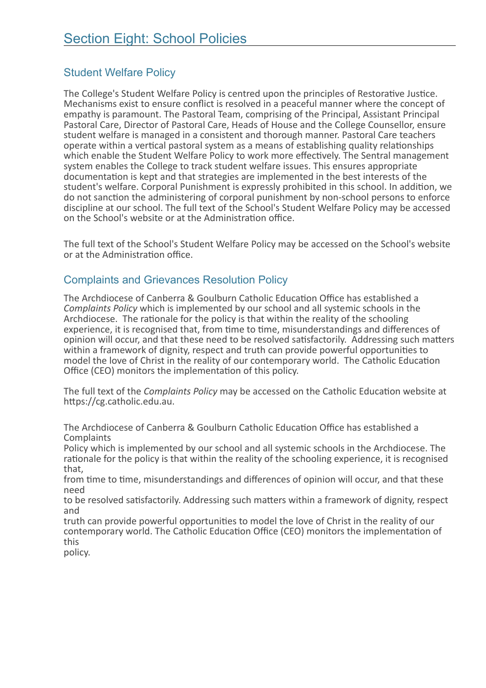### Student Welfare Policy

The College's Student Welfare Policy is centred upon the principles of Restorative Justice.<br>Mechanisms exist to ensure conflict is resolved in a peaceful manner where the concept of empathy is paramount. The Pastoral Team, comprising of the Principal, Assistant Principal Pastoral Care, Director of Pastoral Care, Heads of House and the College Counsellor, ensure student welfare is managed in a consistent and thorough manner. Pastoral Care teachers operate within a vertical pastoral system as a means of establishing quality relationships which enable the Student Welfare Policy to work more effectively. The Sentral management system enables the College to track student welfare issues. This ensures appropriate documentation is kept and that strategies are implemented in the best interests of the student's welfare. Corporal Punishment is expressly prohibited in this school. In addition, we do not sanction the administering of corporal punishment by non-school persons to enforce discipline at our school. The full text of the School's Student Welfare Policy may be accessed on the School's website or at the Administration office.

The full text of the School's Student Welfare Policy may be accessed on the School's website or at the Administration office.

#### Complaints and Grievances Resolution Policy

The Archdiocese of Canberra & Goulburn Catholic Education Office has established a Complaints Policy which is implemented by our school and all systemic schools in the Archdiocese. The rationale for the policy is that within the reality of the schooling experience, it is recognised that, from time to time, misunderstandings and differences of opinion will occur, and that these need to be resolved satisfactorily. Addressing such matters within a framework of dignity, respect and truth can provide powerful opportunities to model the love of Christ in the reality of our contemporary world. The Catholic Education Office (CEO) monitors the implementation of this policy.

The full text of the *Complaints Policy* may be accessed on the Catholic Education website at https://cg.catholic.edu.au.

The Archdiocese of Canberra & Goulburn Catholic Education Office has established a **Complaints** 

Policy which is implemented by our school and all systemic schools in the Archdiocese. The rationale for the policy is that within the reality of the schooling experience, it is recognised that,

from time to time, misunderstandings and differences of opinion will occur, and that these need

to be resolved satisfactorily. Addressing such matters within a framework of dignity, respect and

truth can provide powerful opportunities to model the love of Christ in the reality of our contemporary world. The Catholic Education Office (CEO) monitors the implementation of this

policy.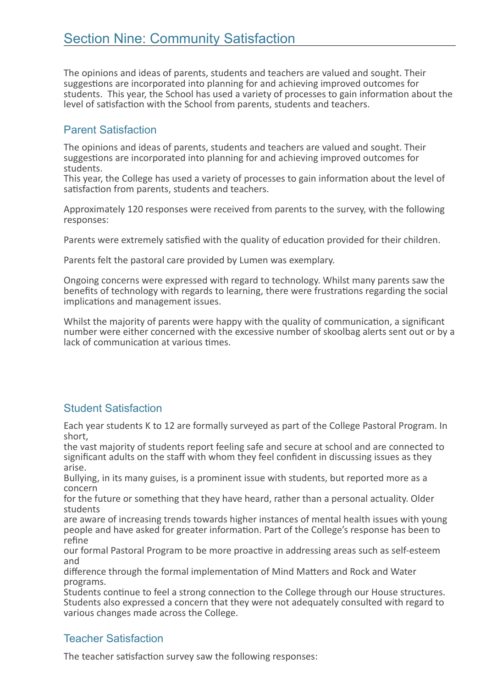The opinions and ideas of parents, students and teachers are valued and sought. Their suggestions are incorporated into planning for and achieving improved outcomes for students. This year, the School has used a variety of processes to gain information about the level of satisfaction with the School from parents, students and teachers.

#### Parent Satisfaction

The opinions and ideas of parents, students and teachers are valued and sought. Their suggestions are incorporated into planning for and achieving improved outcomes for students.

This year, the College has used a variety of processes to gain information about the level of satisfaction from parents, students and teachers.

Approximately 120 responses were received from parents to the survey, with the following responses:

Parents were extremely satisfied with the quality of education provided for their children.

Parents felt the pastoral care provided by Lumen was exemplary.

Ongoing concerns were expressed with regard to technology. Whilst many parents saw the benefits of technology with regards to learning, there were frustrations regarding the social implications and management issues.

Whilst the majority of parents were happy with the quality of communication, a significant number were either concerned with the excessive number of skoolbag alerts sent out or by a lack of communication at various times.

### Student Satisfaction

Each year students K to 12 are formally surveyed as part of the College Pastoral Program. In short,

the vast majority of students report feeling safe and secure at school and are connected to significant adults on the staff with whom they feel confident in discussing issues as they arise.

Bullying, in its many guises, is a prominent issue with students, but reported more as a concern

for the future or something that they have heard, rather than a personal actuality. Older students

are aware of increasing trends towards higher instances of mental health issues with young people and have asked for greater information. Part of the College's response has been to refine

our formal Pastoral Program to be more proactive in addressing areas such as self-esteem and

difference through the formal implementation of Mind Matters and Rock and Water programs.

Students continue to feel a strong connection to the College through our House structures. Students also expressed a concern that they were not adequately consulted with regard to various changes made across the College.

### Teacher Satisfaction

The teacher satisfaction survey saw the following responses: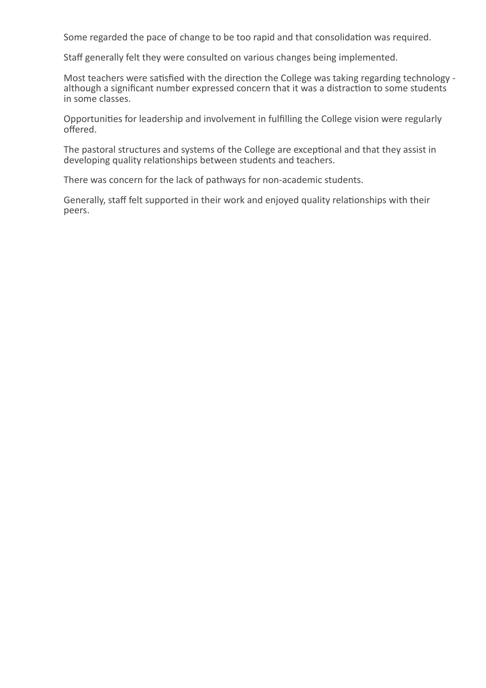Some regarded the pace of change to be too rapid and that consolidation was required.

Staff generally felt they were consulted on various changes being implemented.

Most teachers were satisfied with the direction the College was taking regarding technology although a significant number expressed concern that it was a distraction to some students in some classes.

Opportunities for leadership and involvement in fulfilling the College vision were regularly offered.

The pastoral structures and systems of the College are exceptional and that they assist in developing quality relationships between students and teachers.

There was concern for the lack of pathways for non-academic students.

Generally, staff felt supported in their work and enjoyed quality relationships with their peers.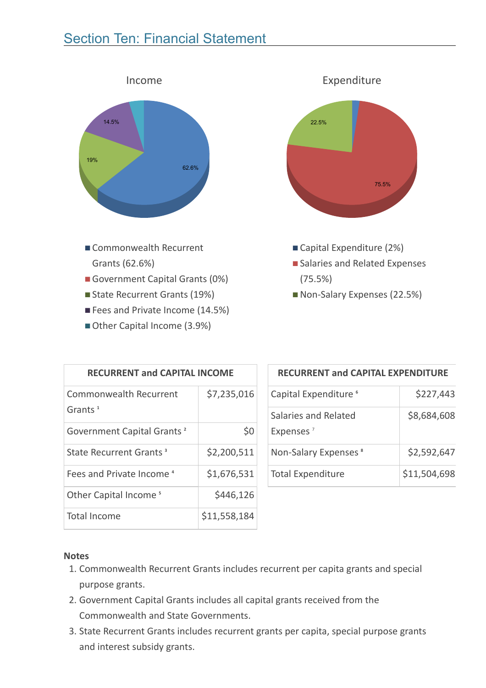# Section Ten: Financial Statement



- Government Capital Grants (0%)
- State Recurrent Grants (19%)
- Fees and Private Income (14.5%)
- Other Capital Income (3.9%)



■ Non-Salary Expenses (22.5%)

| <b>RECURRENT and CAPITAL INCOME</b>         |              |  |  |
|---------------------------------------------|--------------|--|--|
| <b>Commonwealth Recurrent</b><br>Grants $1$ | \$7,235,016  |  |  |
| Government Capital Grants <sup>2</sup>      | \$0          |  |  |
| State Recurrent Grants <sup>3</sup>         | \$2,200,511  |  |  |
| Fees and Private Income <sup>4</sup>        | \$1,676,531  |  |  |
| Other Capital Income <sup>5</sup>           | \$446,126    |  |  |
| Total Income                                | \$11,558,184 |  |  |

#### RECURRENT and CAPITAL EXPENDITURE

| Capital Expenditure <sup>6</sup>              | \$227,443    |
|-----------------------------------------------|--------------|
| Salaries and Related<br>Expenses <sup>7</sup> | \$8,684,608  |
| Non-Salary Expenses <sup>8</sup>              | \$2,592,647  |
| <b>Total Expenditure</b>                      | \$11,504,698 |

#### **Notes**

- 1. Commonwealth Recurrent Grants includes recurrent per capita grants and special purpose grants.
- 2. Government Capital Grants includes all capital grants received from the Commonwealth and State Governments.
- 3. State Recurrent Grants includes recurrent grants per capita, special purpose grants and interest subsidy grants.